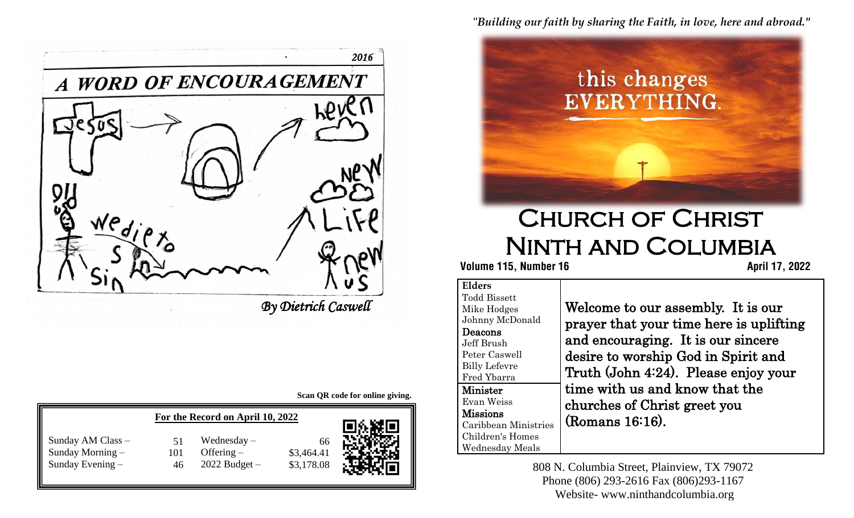"*Building our faith by sharing the Faith, in love, here and abroad."*



# Church of Christ Ninth and Columbia

 **115, Number 16 April 17, 2022** 

#### **Elders** Todd Bissett Mike Hodges Johnny McDonald Deacons Jeff Brush Peter Caswell Billy Lefevre Fred Ybarra Minister Evan Weiss Missions Caribbean Ministries Children's Homes Wednesday Meals

Welcome to our assembly. It is our prayer that your time here is uplifting and encouraging. It is our sincere desire to worship God in Spirit and Truth (John 4:24). Please enjoy your time with us and know that the churches of Christ greet you (Romans 16:16).

808 N. Columbia Street, Plainview, TX 79072 Phone (806) 293-2616 Fax (806)293-1167 Website- www.ninthandcolumbia.org



*By Dietrich Caswell* 

**Scan QR code for online giving.**

| For the Record on April 10, 2022                          |           |                                                    |                                | 同充戰區 |
|-----------------------------------------------------------|-----------|----------------------------------------------------|--------------------------------|------|
| Sunday AM Class -<br>Sunday Morning -<br>Sunday Evening - | 101<br>46 | Wednesday $-$<br>Offering $-$<br>$2022$ Budget $-$ | 66<br>\$3,464.41<br>\$3,178.08 |      |